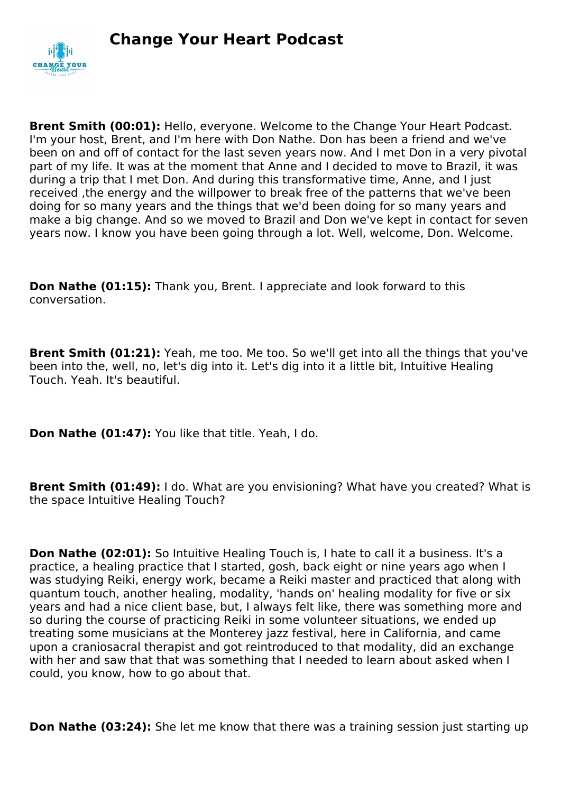

**Brent Smith (00:01):** Hello, everyone. Welcome to the Change Your Heart Podcast. I'm your host, Brent, and I'm here with Don Nathe. Don has been a friend and we've been on and off of contact for the last seven years now. And I met Don in a very pivotal part of my life. It was at the moment that Anne and I decided to move to Brazil, it was during a trip that I met Don. And during this transformative time, Anne, and I just received ,the energy and the willpower to break free of the patterns that we've been doing for so many years and the things that we'd been doing for so many years and make a big change. And so we moved to Brazil and Don we've kept in contact for seven years now. I know you have been going through a lot. Well, welcome, Don. Welcome.

**Don Nathe (01:15):** Thank you, Brent. I appreciate and look forward to this conversation.

**Brent Smith (01:21):** Yeah, me too. Me too. So we'll get into all the things that you've been into the, well, no, let's dig into it. Let's dig into it a little bit, Intuitive Healing Touch. Yeah. It's beautiful.

**Don Nathe (01:47):** You like that title. Yeah, I do.

**Brent Smith (01:49):** I do. What are you envisioning? What have you created? What is the space Intuitive Healing Touch?

**Don Nathe (02:01):** So Intuitive Healing Touch is, I hate to call it a business, It's a practice, a healing practice that I started, gosh, back eight or nine years ago when I was studying Reiki, energy work, became a Reiki master and practiced that along with quantum touch, another healing, modality, 'hands on' healing modality for five or six years and had a nice client base, but, I always felt like, there was something more and so during the course of practicing Reiki in some volunteer situations, we ended up treating some musicians at the Monterey jazz festival, here in California, and came upon a craniosacral therapist and got reintroduced to that modality, did an exchange with her and saw that that was something that I needed to learn about asked when I could, you know, how to go about that.

**Don Nathe (03:24):** She let me know that there was a training session just starting up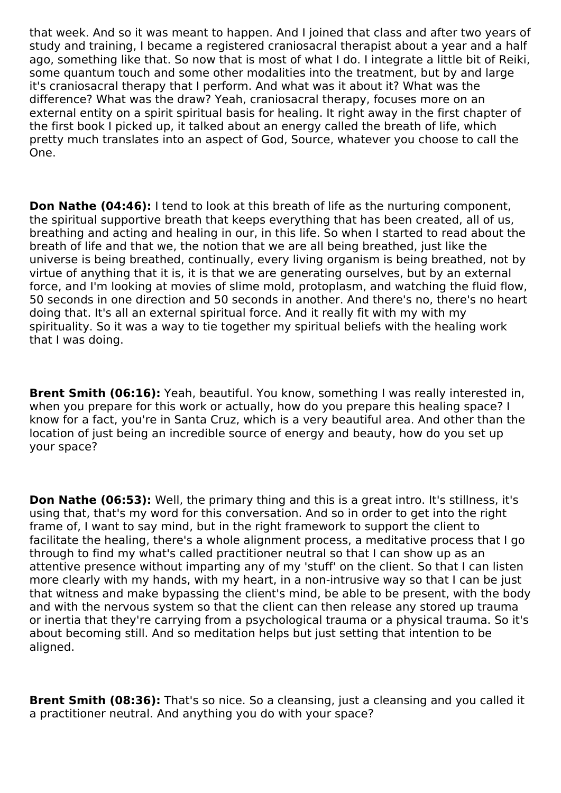that week. And so it was meant to happen. And I joined that class and after two years of study and training, I became a registered craniosacral therapist about a year and a half ago, something like that. So now that is most of what I do. I integrate a little bit of Reiki, some quantum touch and some other modalities into the treatment, but by and large it's craniosacral therapy that I perform. And what was it about it? What was the difference? What was the draw? Yeah, craniosacral therapy, focuses more on an external entity on a spirit spiritual basis for healing. It right away in the first chapter of the first book I picked up, it talked about an energy called the breath of life, which pretty much translates into an aspect of God, Source, whatever you choose to call the One.

**Don Nathe (04:46):** I tend to look at this breath of life as the nurturing component, the spiritual supportive breath that keeps everything that has been created, all of us, breathing and acting and healing in our, in this life. So when I started to read about the breath of life and that we, the notion that we are all being breathed, just like the universe is being breathed, continually, every living organism is being breathed, not by virtue of anything that it is, it is that we are generating ourselves, but by an external force, and I'm looking at movies of slime mold, protoplasm, and watching the fluid flow, 50 seconds in one direction and 50 seconds in another. And there's no, there's no heart doing that. It's all an external spiritual force. And it really fit with my with my spirituality. So it was a way to tie together my spiritual beliefs with the healing work that I was doing.

**Brent Smith (06:16):** Yeah, beautiful. You know, something I was really interested in, when you prepare for this work or actually, how do you prepare this healing space? I know for a fact, you're in Santa Cruz, which is a very beautiful area. And other than the location of just being an incredible source of energy and beauty, how do you set up your space?

**Don Nathe (06:53):** Well, the primary thing and this is a great intro. It's stillness, it's using that, that's my word for this conversation. And so in order to get into the right frame of, I want to say mind, but in the right framework to support the client to facilitate the healing, there's a whole alignment process, a meditative process that I go through to find my what's called practitioner neutral so that I can show up as an attentive presence without imparting any of my 'stuff' on the client. So that I can listen more clearly with my hands, with my heart, in a non-intrusive way so that I can be just that witness and make bypassing the client's mind, be able to be present, with the body and with the nervous system so that the client can then release any stored up trauma or inertia that they're carrying from a psychological trauma or a physical trauma. So it's about becoming still. And so meditation helps but just setting that intention to be aligned.

**Brent Smith (08:36):** That's so nice. So a cleansing, just a cleansing and you called it a practitioner neutral. And anything you do with your space?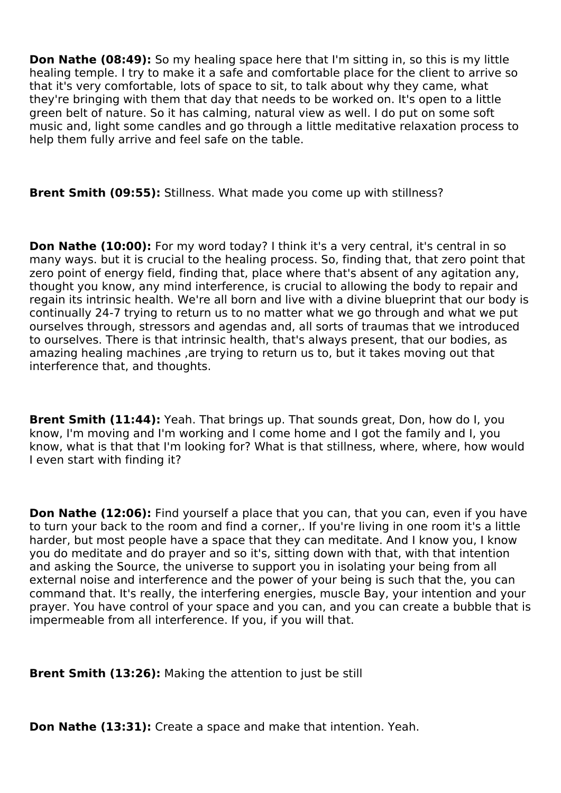**Don Nathe (08:49):** So my healing space here that I'm sitting in, so this is my little healing temple. I try to make it a safe and comfortable place for the client to arrive so that it's very comfortable, lots of space to sit, to talk about why they came, what they're bringing with them that day that needs to be worked on. It's open to a little green belt of nature. So it has calming, natural view as well. I do put on some soft music and, light some candles and go through a little meditative relaxation process to help them fully arrive and feel safe on the table.

**Brent Smith (09:55):** Stillness. What made you come up with stillness?

**Don Nathe (10:00):** For my word today? I think it's a very central, it's central in so many ways. but it is crucial to the healing process. So, finding that, that zero point that zero point of energy field, finding that, place where that's absent of any agitation any, thought you know, any mind interference, is crucial to allowing the body to repair and regain its intrinsic health. We're all born and live with a divine blueprint that our body is continually 24-7 trying to return us to no matter what we go through and what we put ourselves through, stressors and agendas and, all sorts of traumas that we introduced to ourselves. There is that intrinsic health, that's always present, that our bodies, as amazing healing machines ,are trying to return us to, but it takes moving out that interference that, and thoughts.

**Brent Smith (11:44):** Yeah. That brings up. That sounds great, Don, how do I, you know, I'm moving and I'm working and I come home and I got the family and I, you know, what is that that I'm looking for? What is that stillness, where, where, how would I even start with finding it?

**Don Nathe (12:06):** Find yourself a place that you can, that you can, even if you have to turn your back to the room and find a corner,. If you're living in one room it's a little harder, but most people have a space that they can meditate. And I know you, I know you do meditate and do prayer and so it's, sitting down with that, with that intention and asking the Source, the universe to support you in isolating your being from all external noise and interference and the power of your being is such that the, you can command that. It's really, the interfering energies, muscle Bay, your intention and your prayer. You have control of your space and you can, and you can create a bubble that is impermeable from all interference. If you, if you will that.

**Brent Smith (13:26):** Making the attention to just be still

**Don Nathe (13:31):** Create a space and make that intention. Yeah.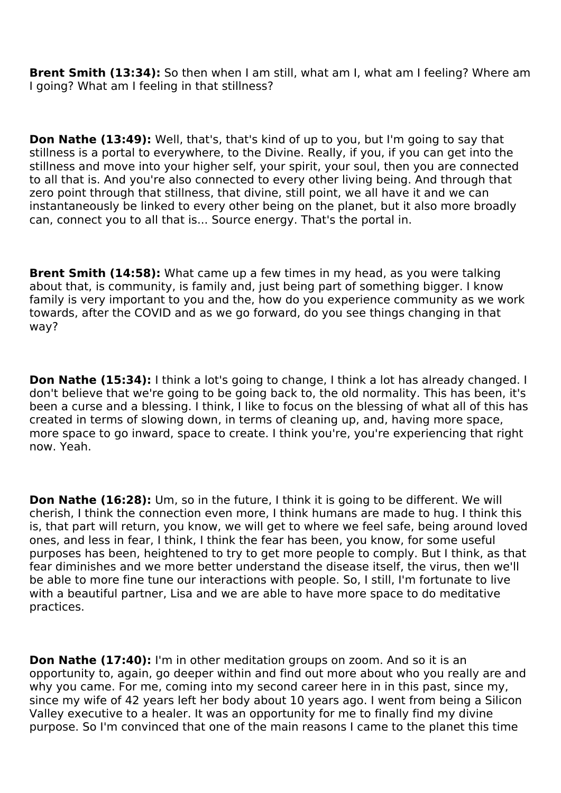**Brent Smith (13:34):** So then when I am still, what am I, what am I feeling? Where am I going? What am I feeling in that stillness?

**Don Nathe (13:49):** Well, that's, that's kind of up to you, but I'm going to say that stillness is a portal to everywhere, to the Divine. Really, if you, if you can get into the stillness and move into your higher self, your spirit, your soul, then you are connected to all that is. And you're also connected to every other living being. And through that zero point through that stillness, that divine, still point, we all have it and we can instantaneously be linked to every other being on the planet, but it also more broadly can, connect you to all that is... Source energy. That's the portal in.

**Brent Smith (14:58):** What came up a few times in my head, as you were talking about that, is community, is family and, just being part of something bigger. I know family is very important to you and the, how do you experience community as we work towards, after the COVID and as we go forward, do you see things changing in that way?

**Don Nathe (15:34):** I think a lot's going to change, I think a lot has already changed. I don't believe that we're going to be going back to, the old normality. This has been, it's been a curse and a blessing. I think, I like to focus on the blessing of what all of this has created in terms of slowing down, in terms of cleaning up, and, having more space, more space to go inward, space to create. I think you're, you're experiencing that right now. Yeah.

**Don Nathe (16:28):** Um, so in the future, I think it is going to be different. We will cherish, I think the connection even more, I think humans are made to hug. I think this is, that part will return, you know, we will get to where we feel safe, being around loved ones, and less in fear, I think, I think the fear has been, you know, for some useful purposes has been, heightened to try to get more people to comply. But I think, as that fear diminishes and we more better understand the disease itself, the virus, then we'll be able to more fine tune our interactions with people. So, I still, I'm fortunate to live with a beautiful partner, Lisa and we are able to have more space to do meditative practices.

**Don Nathe (17:40):** I'm in other meditation groups on zoom. And so it is an opportunity to, again, go deeper within and find out more about who you really are and why you came. For me, coming into my second career here in in this past, since my, since my wife of 42 years left her body about 10 years ago. I went from being a Silicon Valley executive to a healer. It was an opportunity for me to finally find my divine purpose. So I'm convinced that one of the main reasons I came to the planet this time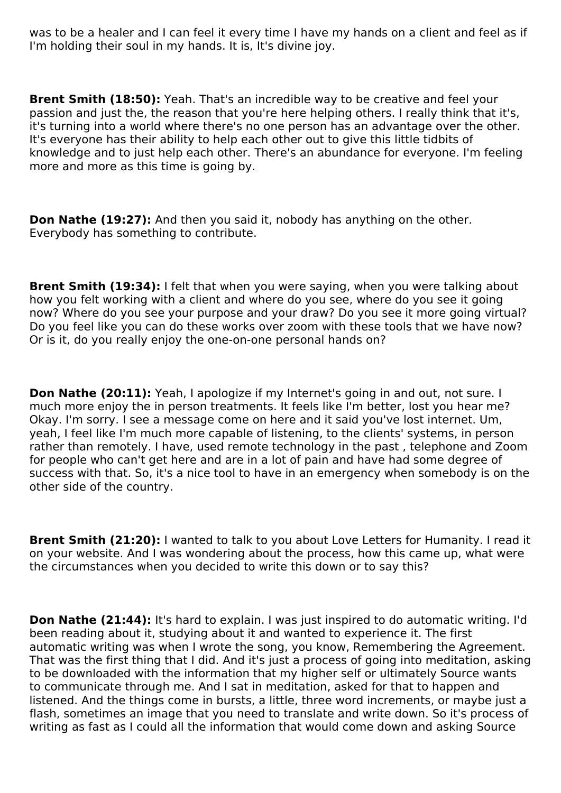was to be a healer and I can feel it every time I have my hands on a client and feel as if I'm holding their soul in my hands. It is, It's divine joy.

**Brent Smith (18:50):** Yeah. That's an incredible way to be creative and feel your passion and just the, the reason that you're here helping others. I really think that it's, it's turning into a world where there's no one person has an advantage over the other. It's everyone has their ability to help each other out to give this little tidbits of knowledge and to just help each other. There's an abundance for everyone. I'm feeling more and more as this time is going by.

**Don Nathe (19:27):** And then you said it, nobody has anything on the other. Everybody has something to contribute.

**Brent Smith (19:34):** I felt that when you were saying, when you were talking about how you felt working with a client and where do you see, where do you see it going now? Where do you see your purpose and your draw? Do you see it more going virtual? Do you feel like you can do these works over zoom with these tools that we have now? Or is it, do you really enjoy the one-on-one personal hands on?

**Don Nathe (20:11):** Yeah, I apologize if my Internet's going in and out, not sure. I much more enjoy the in person treatments. It feels like I'm better, lost you hear me? Okay. I'm sorry. I see a message come on here and it said you've lost internet. Um, yeah, I feel like I'm much more capable of listening, to the clients' systems, in person rather than remotely. I have, used remote technology in the past , telephone and Zoom for people who can't get here and are in a lot of pain and have had some degree of success with that. So, it's a nice tool to have in an emergency when somebody is on the other side of the country.

**Brent Smith (21:20):** I wanted to talk to you about Love Letters for Humanity. I read it on your website. And I was wondering about the process, how this came up, what were the circumstances when you decided to write this down or to say this?

**Don Nathe (21:44):** It's hard to explain. I was just inspired to do automatic writing. I'd been reading about it, studying about it and wanted to experience it. The first automatic writing was when I wrote the song, you know, Remembering the Agreement. That was the first thing that I did. And it's just a process of going into meditation, asking to be downloaded with the information that my higher self or ultimately Source wants to communicate through me. And I sat in meditation, asked for that to happen and listened. And the things come in bursts, a little, three word increments, or maybe just a flash, sometimes an image that you need to translate and write down. So it's process of writing as fast as I could all the information that would come down and asking Source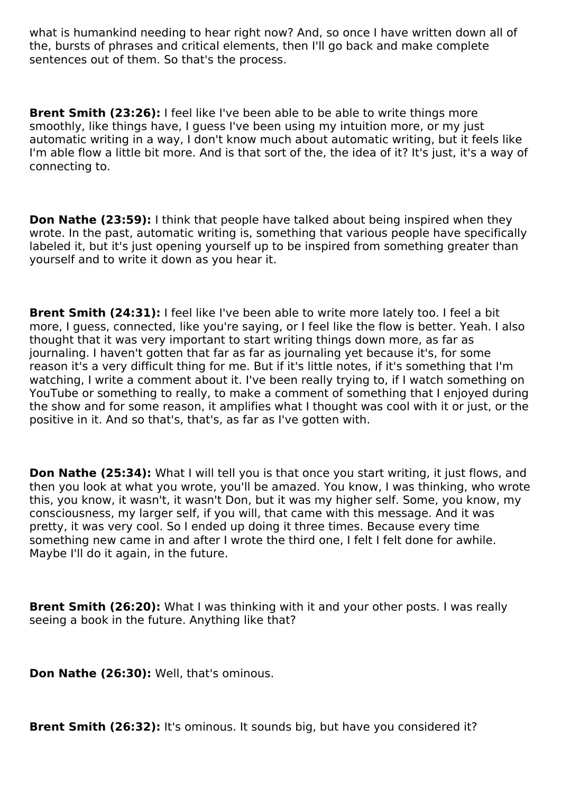what is humankind needing to hear right now? And, so once I have written down all of the, bursts of phrases and critical elements, then I'll go back and make complete sentences out of them. So that's the process.

**Brent Smith (23:26):** I feel like I've been able to be able to write things more smoothly, like things have, I guess I've been using my intuition more, or my just automatic writing in a way, I don't know much about automatic writing, but it feels like I'm able flow a little bit more. And is that sort of the, the idea of it? It's just, it's a way of connecting to.

**Don Nathe (23:59):** I think that people have talked about being inspired when they wrote. In the past, automatic writing is, something that various people have specifically labeled it, but it's just opening yourself up to be inspired from something greater than yourself and to write it down as you hear it.

**Brent Smith (24:31):** I feel like I've been able to write more lately too. I feel a bit more, I guess, connected, like you're saying, or I feel like the flow is better. Yeah. I also thought that it was very important to start writing things down more, as far as journaling. I haven't gotten that far as far as journaling yet because it's, for some reason it's a very difficult thing for me. But if it's little notes, if it's something that I'm watching, I write a comment about it. I've been really trying to, if I watch something on YouTube or something to really, to make a comment of something that I enjoyed during the show and for some reason, it amplifies what I thought was cool with it or just, or the positive in it. And so that's, that's, as far as I've gotten with.

**Don Nathe (25:34):** What I will tell you is that once you start writing, it just flows, and then you look at what you wrote, you'll be amazed. You know, I was thinking, who wrote this, you know, it wasn't, it wasn't Don, but it was my higher self. Some, you know, my consciousness, my larger self, if you will, that came with this message. And it was pretty, it was very cool. So I ended up doing it three times. Because every time something new came in and after I wrote the third one, I felt I felt done for awhile. Maybe I'll do it again, in the future.

**Brent Smith (26:20):** What I was thinking with it and your other posts. I was really seeing a book in the future. Anything like that?

**Don Nathe (26:30):** Well, that's ominous.

**Brent Smith (26:32):** It's ominous. It sounds big, but have you considered it?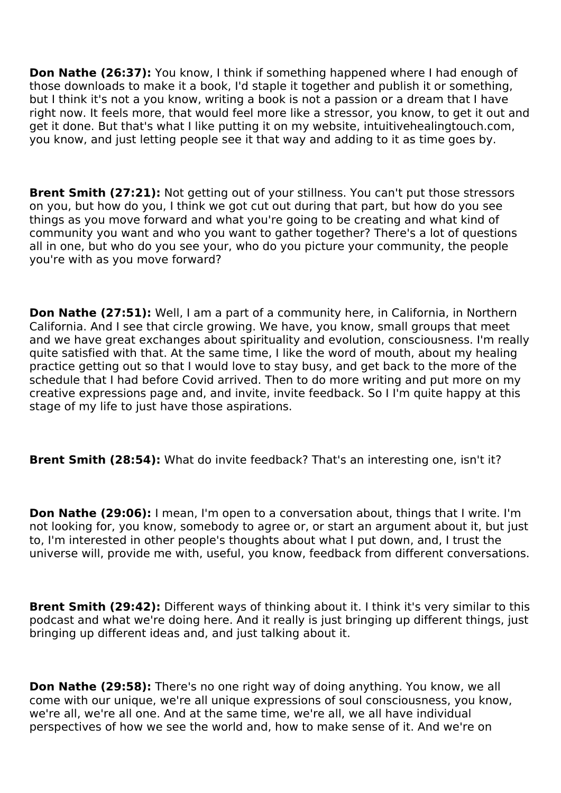**Don Nathe (26:37):** You know, I think if something happened where I had enough of those downloads to make it a book, I'd staple it together and publish it or something, but I think it's not a you know, writing a book is not a passion or a dream that I have right now. It feels more, that would feel more like a stressor, you know, to get it out and get it done. But that's what I like putting it on my website, intuitivehealingtouch.com, you know, and just letting people see it that way and adding to it as time goes by.

**Brent Smith (27:21):** Not getting out of your stillness. You can't put those stressors on you, but how do you, I think we got cut out during that part, but how do you see things as you move forward and what you're going to be creating and what kind of community you want and who you want to gather together? There's a lot of questions all in one, but who do you see your, who do you picture your community, the people you're with as you move forward?

**Don Nathe (27:51):** Well, I am a part of a community here, in California, in Northern California. And I see that circle growing. We have, you know, small groups that meet and we have great exchanges about spirituality and evolution, consciousness. I'm really quite satisfied with that. At the same time, I like the word of mouth, about my healing practice getting out so that I would love to stay busy, and get back to the more of the schedule that I had before Covid arrived. Then to do more writing and put more on my creative expressions page and, and invite, invite feedback. So I I'm quite happy at this stage of my life to just have those aspirations.

**Brent Smith (28:54):** What do invite feedback? That's an interesting one, isn't it?

**Don Nathe (29:06):** I mean, I'm open to a conversation about, things that I write. I'm not looking for, you know, somebody to agree or, or start an argument about it, but just to, I'm interested in other people's thoughts about what I put down, and, I trust the universe will, provide me with, useful, you know, feedback from different conversations.

**Brent Smith (29:42):** Different ways of thinking about it. I think it's very similar to this podcast and what we're doing here. And it really is just bringing up different things, just bringing up different ideas and, and just talking about it.

**Don Nathe (29:58):** There's no one right way of doing anything. You know, we all come with our unique, we're all unique expressions of soul consciousness, you know, we're all, we're all one. And at the same time, we're all, we all have individual perspectives of how we see the world and, how to make sense of it. And we're on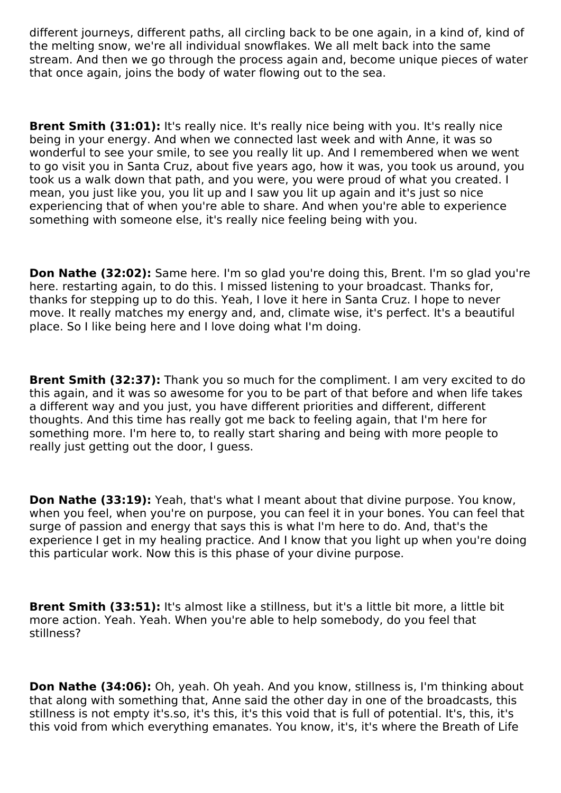different journeys, different paths, all circling back to be one again, in a kind of, kind of the melting snow, we're all individual snowflakes. We all melt back into the same stream. And then we go through the process again and, become unique pieces of water that once again, joins the body of water flowing out to the sea.

**Brent Smith (31:01):** It's really nice. It's really nice being with you. It's really nice being in your energy. And when we connected last week and with Anne, it was so wonderful to see your smile, to see you really lit up. And I remembered when we went to go visit you in Santa Cruz, about five years ago, how it was, you took us around, you took us a walk down that path, and you were, you were proud of what you created. I mean, you just like you, you lit up and I saw you lit up again and it's just so nice experiencing that of when you're able to share. And when you're able to experience something with someone else, it's really nice feeling being with you.

**Don Nathe (32:02):** Same here. I'm so glad you're doing this, Brent. I'm so glad you're here. restarting again, to do this. I missed listening to your broadcast. Thanks for, thanks for stepping up to do this. Yeah, I love it here in Santa Cruz. I hope to never move. It really matches my energy and, and, climate wise, it's perfect. It's a beautiful place. So I like being here and I love doing what I'm doing.

**Brent Smith (32:37):** Thank you so much for the compliment. I am very excited to do this again, and it was so awesome for you to be part of that before and when life takes a different way and you just, you have different priorities and different, different thoughts. And this time has really got me back to feeling again, that I'm here for something more. I'm here to, to really start sharing and being with more people to really just getting out the door, I guess.

**Don Nathe (33:19):** Yeah, that's what I meant about that divine purpose. You know, when you feel, when you're on purpose, you can feel it in your bones. You can feel that surge of passion and energy that says this is what I'm here to do. And, that's the experience I get in my healing practice. And I know that you light up when you're doing this particular work. Now this is this phase of your divine purpose.

**Brent Smith (33:51):** It's almost like a stillness, but it's a little bit more, a little bit more action. Yeah. Yeah. When you're able to help somebody, do you feel that stillness?

**Don Nathe (34:06):** Oh, yeah. Oh yeah. And you know, stillness is, I'm thinking about that along with something that, Anne said the other day in one of the broadcasts, this stillness is not empty it's.so, it's this, it's this void that is full of potential. It's, this, it's this void from which everything emanates. You know, it's, it's where the Breath of Life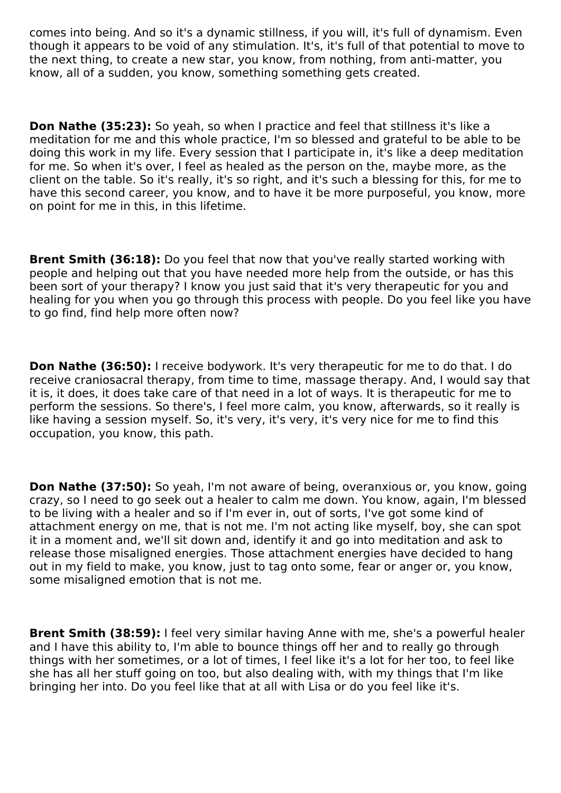comes into being. And so it's a dynamic stillness, if you will, it's full of dynamism. Even though it appears to be void of any stimulation. It's, it's full of that potential to move to the next thing, to create a new star, you know, from nothing, from anti-matter, you know, all of a sudden, you know, something something gets created.

**Don Nathe (35:23):** So yeah, so when I practice and feel that stillness it's like a meditation for me and this whole practice, I'm so blessed and grateful to be able to be doing this work in my life. Every session that I participate in, it's like a deep meditation for me. So when it's over, I feel as healed as the person on the, maybe more, as the client on the table. So it's really, it's so right, and it's such a blessing for this, for me to have this second career, you know, and to have it be more purposeful, you know, more on point for me in this, in this lifetime.

**Brent Smith (36:18):** Do you feel that now that you've really started working with people and helping out that you have needed more help from the outside, or has this been sort of your therapy? I know you just said that it's very therapeutic for you and healing for you when you go through this process with people. Do you feel like you have to go find, find help more often now?

**Don Nathe (36:50):** I receive bodywork. It's very therapeutic for me to do that. I do receive craniosacral therapy, from time to time, massage therapy. And, I would say that it is, it does, it does take care of that need in a lot of ways. It is therapeutic for me to perform the sessions. So there's, I feel more calm, you know, afterwards, so it really is like having a session myself. So, it's very, it's very, it's very nice for me to find this occupation, you know, this path.

**Don Nathe (37:50):** So yeah, I'm not aware of being, overanxious or, you know, going crazy, so I need to go seek out a healer to calm me down. You know, again, I'm blessed to be living with a healer and so if I'm ever in, out of sorts, I've got some kind of attachment energy on me, that is not me. I'm not acting like myself, boy, she can spot it in a moment and, we'll sit down and, identify it and go into meditation and ask to release those misaligned energies. Those attachment energies have decided to hang out in my field to make, you know, just to tag onto some, fear or anger or, you know, some misaligned emotion that is not me.

**Brent Smith (38:59):** I feel very similar having Anne with me, she's a powerful healer and I have this ability to, I'm able to bounce things off her and to really go through things with her sometimes, or a lot of times, I feel like it's a lot for her too, to feel like she has all her stuff going on too, but also dealing with, with my things that I'm like bringing her into. Do you feel like that at all with Lisa or do you feel like it's.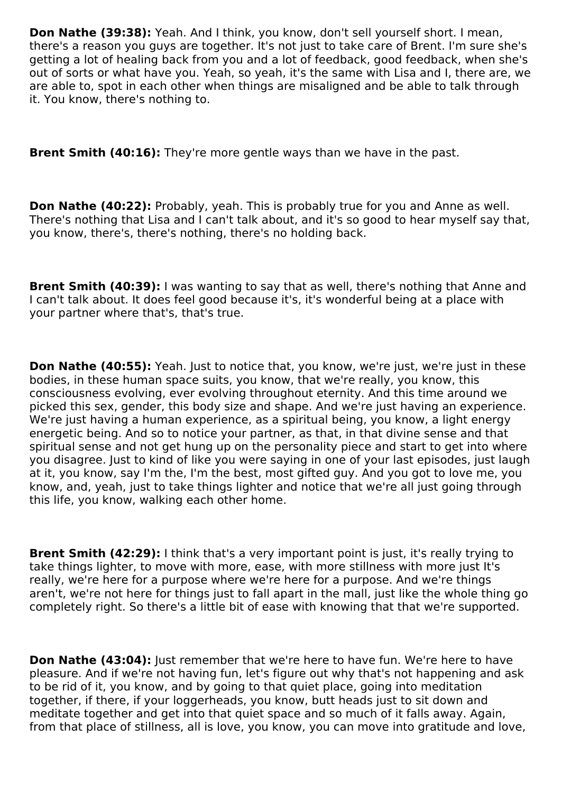**Don Nathe (39:38):** Yeah. And I think, you know, don't sell yourself short. I mean, there's a reason you guys are together. It's not just to take care of Brent. I'm sure she's getting a lot of healing back from you and a lot of feedback, good feedback, when she's out of sorts or what have you. Yeah, so yeah, it's the same with Lisa and I, there are, we are able to, spot in each other when things are misaligned and be able to talk through it. You know, there's nothing to.

**Brent Smith (40:16):** They're more gentle ways than we have in the past.

**Don Nathe (40:22):** Probably, yeah. This is probably true for you and Anne as well. There's nothing that Lisa and I can't talk about, and it's so good to hear myself say that, you know, there's, there's nothing, there's no holding back.

**Brent Smith (40:39):** I was wanting to say that as well, there's nothing that Anne and I can't talk about. It does feel good because it's, it's wonderful being at a place with your partner where that's, that's true.

**Don Nathe (40:55):** Yeah. Just to notice that, you know, we're just, we're just in these bodies, in these human space suits, you know, that we're really, you know, this consciousness evolving, ever evolving throughout eternity. And this time around we picked this sex, gender, this body size and shape. And we're just having an experience. We're just having a human experience, as a spiritual being, you know, a light energy energetic being. And so to notice your partner, as that, in that divine sense and that spiritual sense and not get hung up on the personality piece and start to get into where you disagree. Just to kind of like you were saying in one of your last episodes, just laugh at it, you know, say I'm the, I'm the best, most gifted guy. And you got to love me, you know, and, yeah, just to take things lighter and notice that we're all just going through this life, you know, walking each other home.

**Brent Smith (42:29):** I think that's a very important point is just, it's really trying to take things lighter, to move with more, ease, with more stillness with more just It's really, we're here for a purpose where we're here for a purpose. And we're things aren't, we're not here for things just to fall apart in the mall, just like the whole thing go completely right. So there's a little bit of ease with knowing that that we're supported.

**Don Nathe (43:04):** Just remember that we're here to have fun. We're here to have pleasure. And if we're not having fun, let's figure out why that's not happening and ask to be rid of it, you know, and by going to that quiet place, going into meditation together, if there, if your loggerheads, you know, butt heads just to sit down and meditate together and get into that quiet space and so much of it falls away. Again, from that place of stillness, all is love, you know, you can move into gratitude and love,